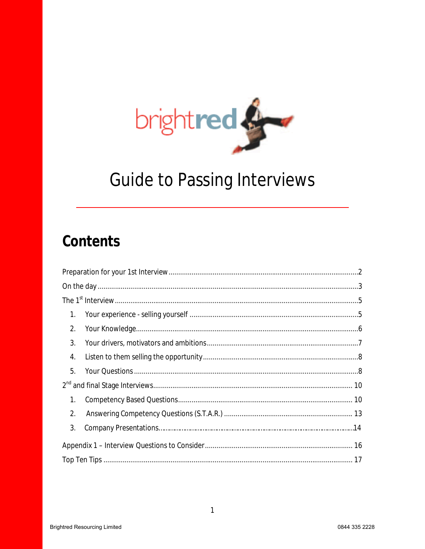

# **Guide to Passing Interviews**

# Contents

| 1. |  |  |
|----|--|--|
| 2. |  |  |
| 3. |  |  |
| 4. |  |  |
| 5. |  |  |
|    |  |  |
| 1. |  |  |
| 2. |  |  |
| 3. |  |  |
|    |  |  |
|    |  |  |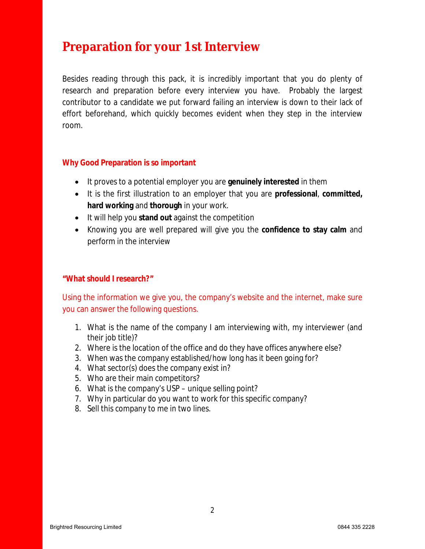# **Preparation for your 1st Interview**

Besides reading through this pack, it is incredibly important that you do plenty of research and preparation before every interview you have. Probably the largest contributor to a candidate we put forward failing an interview is down to their lack of effort beforehand, which quickly becomes evident when they step in the interview room.

#### **Why Good Preparation is so important**

- It proves to a potential employer you are **genuinely interested** in them
- It is the first illustration to an employer that you are **professional**, **committed, hard working** and **thorough** in your work.
- It will help you **stand out** against the competition
- Knowing you are well prepared will give you the **confidence to stay calm** and perform in the interview

#### **"What should I research?"**

Using the information we give you, the company's website and the internet, make sure you can answer the following questions.

- 1. What is the name of the company I am interviewing with, my interviewer (and their job title)?
- 2. Where is the location of the office and do they have offices anywhere else?
- 3. When was the company established/how long has it been going for?
- 4. What sector(s) does the company exist in?
- 5. Who are their main competitors?
- 6. What is the company's USP unique selling point?
- 7. Why in particular do you want to work for this specific company?
- 8. Sell this company to me in two lines.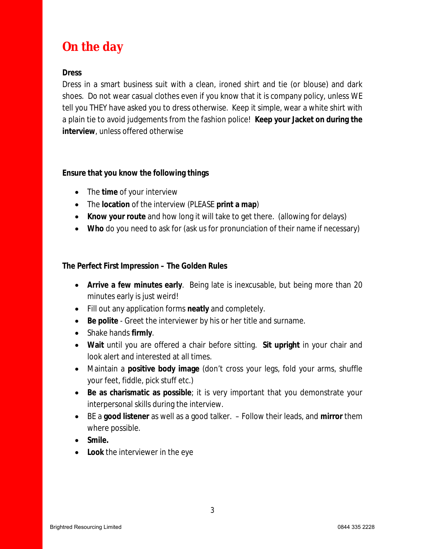# **On the day**

**Dress**

Dress in a smart business suit with a clean, ironed shirt and tie (or blouse) and dark shoes. Do not wear casual clothes even if you know that it is company policy, unless WE tell you THEY have asked you to dress otherwise. Keep it simple, wear a white shirt with a plain tie to avoid judgements from the fashion police! **Keep your Jacket on during the interview**, unless offered otherwise

**Ensure that you know the following things**

- The **time** of your interview
- The **location** of the interview (PLEASE **print a map**)
- **Know your route** and how long it will take to get there. (allowing for delays)
- **Who** do you need to ask for (ask us for pronunciation of their name if necessary)

**The Perfect First Impression – The Golden Rules**

- **Arrive a few minutes early**. Being late is inexcusable, but being more than 20 minutes early is just weird!
- Fill out any application forms **neatly** and completely.
- **Be polite** Greet the interviewer by his or her title and surname.
- Shake hands **firmly**.
- **Wait** until you are offered a chair before sitting. **Sit upright** in your chair and look alert and interested at all times.
- Maintain a **positive body image** (don't cross your legs, fold your arms, shuffle your feet, fiddle, pick stuff etc.)
- **Be as charismatic as possible**; it is very important that you demonstrate your interpersonal skills during the interview.
- BE a **good listener** as well as a good talker. Follow their leads, and **mirror** them where possible.

3

- **Smile.**
- **Look** the interviewer in the eye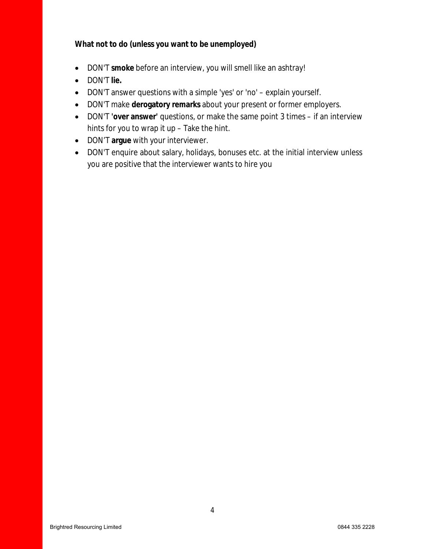**What not to do (unless you want to be unemployed)**

- DON'T **smoke** before an interview, you will smell like an ashtray!
- DON'T **lie.**
- DON'T answer questions with a simple 'yes' or 'no' explain yourself.
- DON'T make **derogatory remarks** about your present or former employers.
- DON'T **'over answer'** questions, or make the same point 3 times if an interview hints for you to wrap it up – Take the hint.
- DON'T **argue** with your interviewer.
- DON'T enquire about salary, holidays, bonuses etc. at the initial interview unless you are positive that the interviewer wants to hire you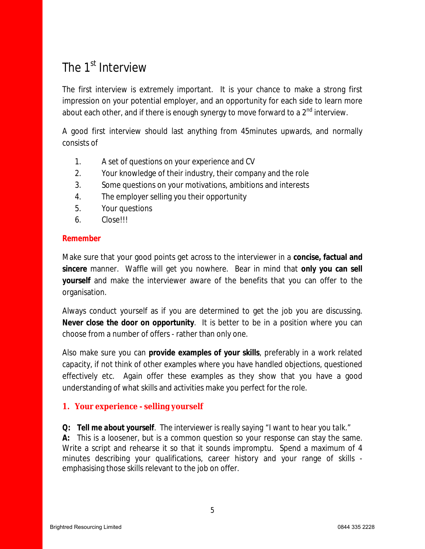# The 1<sup>st</sup> Interview

The first interview is extremely important. It is your chance to make a strong first impression on your potential employer, and an opportunity for each side to learn more about each other, and if there is enough synergy to move forward to a 2<sup>nd</sup> interview.

A good first interview should last anything from 45minutes upwards, and normally consists of

- 1. A set of questions on your experience and CV
- 2. Your knowledge of their industry, their company and the role
- 3. Some questions on your motivations, ambitions and interests
- 4. The employer selling you their opportunity
- 5. Your questions
- 6. Close!!!

### **Remember**

Make sure that your good points get across to the interviewer in a **concise, factual and sincere** manner. Waffle will get you nowhere. Bear in mind that **only you can sell yourself** and make the interviewer aware of the benefits that you can offer to the organisation.

Always conduct yourself as if you are determined to get the job you are discussing. **Never close the door on opportunity**. It is better to be in a position where you can choose from a number of offers - rather than only one.

Also make sure you can **provide examples of your skills**, preferably in a work related capacity, if not think of other examples where you have handled objections, questioned effectively etc. Again offer these examples as they show that you have a good understanding of what skills and activities make you perfect for the role.

## **1. Your experience - selling yourself**

*Q: Tell me about yourself. The interviewer is really saying "I want to hear you talk."* **A:** This is a loosener, but is a common question so your response can stay the same. Write a script and rehearse it so that it sounds impromptu. Spend a maximum of 4 minutes describing your qualifications, career history and your range of skills emphasising those skills relevant to the job on offer.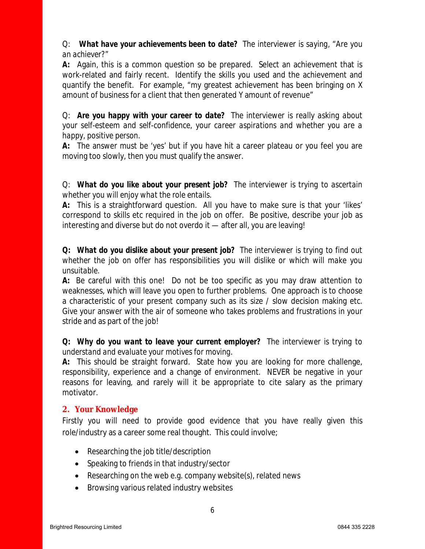Q: *What have your achievements been to date? The interviewer is saying, "Are you an achiever?"*

**A:** Again, this is a common question so be prepared. Select an achievement that is work-related and fairly recent. Identify the skills you used and the achievement and quantify the benefit. For example, "my greatest achievement has been bringing on X amount of business for a client that then generated Y amount of revenue"

Q: *Are you happy with your career to date? The interviewer is really asking about your self-esteem and self-confidence, your career aspirations and whether you are a happy, positive person.*

**A:** The answer must be 'yes' but if you have hit a career plateau or you feel you are moving too slowly, then you must qualify the answer.

Q: *What do you like about your present job? The interviewer is trying to ascertain whether you will enjoy what the role entails.*

**A:** This is a straightforward question. All you have to make sure is that your 'likes' correspond to skills etc required in the job on offer. Be positive, describe your job as interesting and diverse but do not overdo it — after all, you are leaving!

**Q:** *What do you dislike about your present job? The interviewer is trying to find out whether the job on offer has responsibilities you will dislike or which will make you unsuitable.*

**A:** Be careful with this one! Do not be too specific as you may draw attention to weaknesses, which will leave you open to further problems. One approach is to choose a characteristic of your present company such as its size / slow decision making etc. Give your answer with the air of someone who takes problems and frustrations in your stride and as part of the job!

*Q: Why do you want to leave your current employer? The interviewer is trying to understand and evaluate your motives for moving.*

**A:** This should be straight forward. State how you are looking for more challenge, responsibility, experience and a change of environment. NEVER be negative in your reasons for leaving, and rarely will it be appropriate to cite salary as the primary motivator.

## **2. Your Knowledge**

Firstly you will need to provide good evidence that you have really given this role/industry as a career some real thought. This could involve;

- Researching the job title/description
- Speaking to friends in that industry/sector
- Researching on the web e.g. company website(s), related news
- Browsing various related industry websites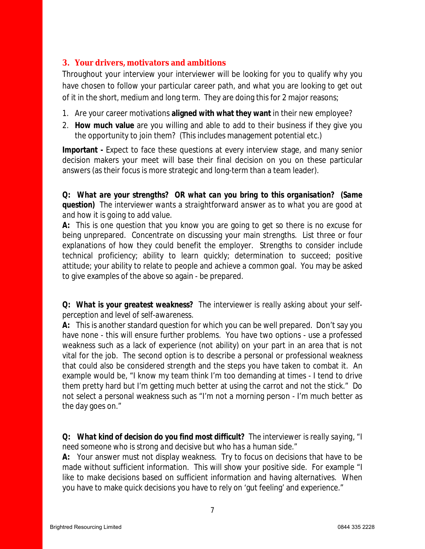# **3. Your drivers, motivators and ambitions**

Throughout your interview your interviewer will be looking for you to qualify why you have chosen to follow your particular career path, and what you are looking to get out of it in the short, medium and long term. They are doing this for 2 major reasons;

- 1. Are your career motivations **aligned with what they want** in their new employee?
- 2. **How much value** are you willing and able to add to their business if they give you the opportunity to join them? (This includes management potential etc.)

**Important -** Expect to face these questions at every interview stage, and many senior decision makers your meet will base their final decision on you on these particular answers (as their focus is more strategic and long-term than a team leader).

*Q: What are your strengths? OR what can you bring to this organisation? (Same question) The interviewer wants a straightforward answer as to what you are good at and how it is going to add value.*

**A:** This is one question that you know you are going to get so there is no excuse for being unprepared. Concentrate on discussing your main strengths. List three or four explanations of how they could benefit the employer. Strengths to consider include technical proficiency; ability to learn quickly; determination to succeed; positive attitude; your ability to relate to people and achieve a common goal. You may be asked to give examples of the above so again - be prepared.

*Q: What is your greatest weakness? The interviewer is really asking about your selfperception and level of self-awareness.*

**A:** This is another standard question for which you can be well prepared. Don't say you have none - this will ensure further problems. You have two options - use a professed weakness such as a lack of experience (not ability) on your part in an area that is not vital for the job. The second option is to describe a personal or professional weakness that could also be considered strength and the steps you have taken to combat it. An example would be, "I know my team think I'm too demanding at times - I tend to drive them pretty hard but I'm getting much better at using the carrot and not the stick." Do not select a personal weakness such as "I'm not a morning person - I'm much better as the day goes on."

*Q: What kind of decision do you find most difficult? The interviewer is really saying, "I need someone who is strong and decisive but who has a human side."*

**A:** Your answer must not display weakness. Try to focus on decisions that have to be made without sufficient information. This will show your positive side. For example "I like to make decisions based on sufficient information and having alternatives. When you have to make quick decisions you have to rely on 'gut feeling' and experience."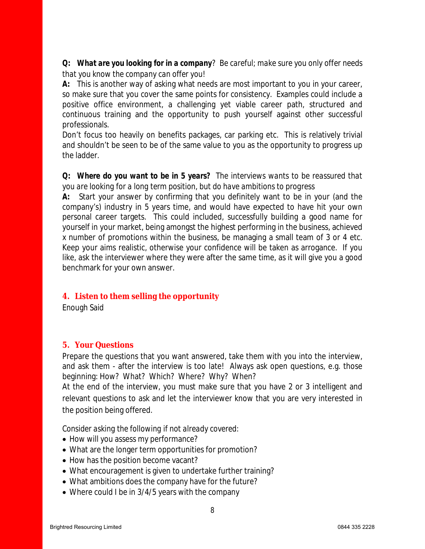*Q: What are you looking for in a company? Be careful; make sure you only offer needs that you know the company can offer you!*

**A:** This is another way of asking what needs are most important to you in your career, so make sure that you cover the same points for consistency. Examples could include a positive office environment, a challenging yet viable career path, structured and continuous training and the opportunity to push yourself against other successful professionals.

Don't focus too heavily on benefits packages, car parking etc. This is relatively trivial and shouldn't be seen to be of the same value to you as the opportunity to progress up the ladder.

*Q: Where do you want to be in 5 years? The interviews wants to be reassured that you are looking for a long term position, but do have ambitions to progress*

**A:** Start your answer by confirming that you definitely want to be in your (and the company's) industry in 5 years time, and would have expected to have hit your own personal career targets. This could included, successfully building a good name for yourself in your market, being amongst the highest performing in the business, achieved x number of promotions within the business, be managing a small team of 3 or 4 etc. Keep your aims realistic, otherwise your confidence will be taken as arrogance. If you like, ask the interviewer where they were after the same time, as it will give you a good benchmark for your own answer.

## **4. Listen to them selling the opportunity**

Enough Said

## **5. Your Questions**

Prepare the questions that you want answered, take them with you into the interview, and ask them - after the interview is too late! Always ask open questions, e.g. those beginning: How? What? Which? Where? Why? When?

At the end of the interview, you must make sure that you have 2 or 3 intelligent and relevant questions to ask and let the interviewer know that you are very interested in the position being offered.

*Consider asking the following if not already covered:*

- How will you assess my performance?
- What are the longer term opportunities for promotion?
- How has the position become vacant?
- What encouragement is given to undertake further training?
- What ambitions does the company have for the future?
- Where could I be in 3/4/5 years with the company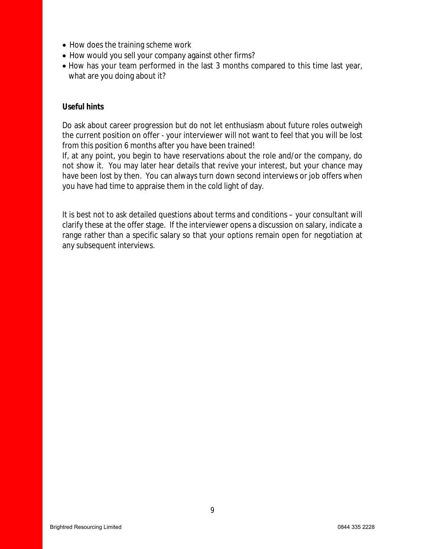- How does the training scheme work
- How would you sell your company against other firms?
- How has your team performed in the last 3 months compared to this time last year, what are you doing about it?

#### **Useful hints**

Do ask about career progression but do not let enthusiasm about future roles outweigh the current position on offer - your interviewer will not want to feel that you will be lost from this position 6 months after you have been trained!

If, at any point, you begin to have reservations about the role and/or the company, do not show it. You may later hear details that revive your interest, but your chance may have been lost by then. You can always turn down second interviews or job offers when you have had time to appraise them in the cold light of day.

It is best not to ask detailed questions about terms and conditions – your consultant will clarify these at the offer stage. If the interviewer opens a discussion on salary, indicate a range rather than a specific salary so that your options remain open for negotiation at any subsequent interviews.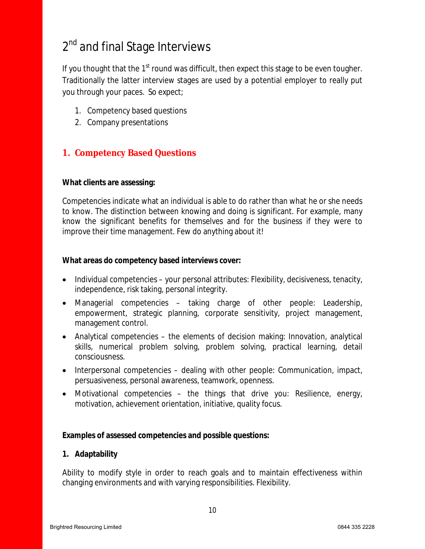# 2<sup>nd</sup> and final Stage Interviews

If you thought that the  $1<sup>st</sup>$  round was difficult, then expect this stage to be even tougher. Traditionally the latter interview stages are used by a potential employer to really put you through your paces. So expect;

- 1. Competency based questions
- 2. Company presentations

# **1. Competency Based Questions**

**What clients are assessing:**

Competencies indicate what an individual is able to do rather than what he or she needs to know. The distinction between knowing and doing is significant. For example, many know the significant benefits for themselves and for the business if they were to improve their time management. Few do anything about it!

**What areas do competency based interviews cover:**

- Individual competencies your personal attributes: Flexibility, decisiveness, tenacity, independence, risk taking, personal integrity.
- Managerial competencies taking charge of other people: Leadership, empowerment, strategic planning, corporate sensitivity, project management, management control.
- Analytical competencies the elements of decision making: Innovation, analytical skills, numerical problem solving, problem solving, practical learning, detail consciousness.
- $\bullet$  Interpersonal competencies dealing with other people: Communication, impact, persuasiveness, personal awareness, teamwork, openness.
- Motivational competencies the things that drive you: Resilience, energy, motivation, achievement orientation, initiative, quality focus.

**Examples of assessed competencies and possible questions:**

**1. Adaptability**

Ability to modify style in order to reach goals and to maintain effectiveness within changing environments and with varying responsibilities. Flexibility.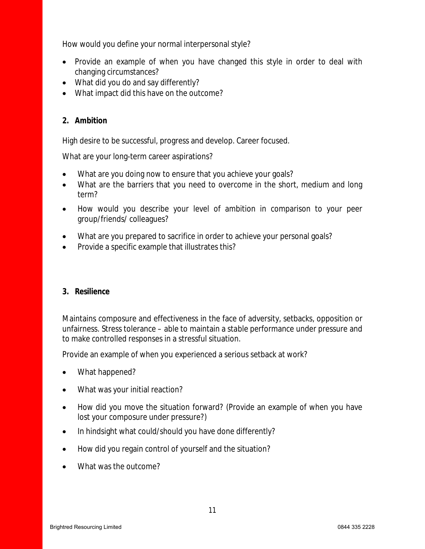How would you define your normal interpersonal style?

- Provide an example of when you have changed this style in order to deal with changing circumstances?
- What did you do and say differently?
- What impact did this have on the outcome?
- **2. Ambition**

High desire to be successful, progress and develop. Career focused.

What are your long-term career aspirations?

- What are you doing now to ensure that you achieve your goals?
- What are the barriers that you need to overcome in the short, medium and long term?
- How would you describe your level of ambition in comparison to your peer group/friends/ colleagues?
- What are you prepared to sacrifice in order to achieve your personal goals?
- Provide a specific example that illustrates this?

## **3. Resilience**

Maintains composure and effectiveness in the face of adversity, setbacks, opposition or unfairness. Stress tolerance – able to maintain a stable performance under pressure and to make controlled responses in a stressful situation.

Provide an example of when you experienced a serious setback at work?

- What happened?
- What was your initial reaction?
- How did you move the situation forward? (Provide an example of when you have lost your composure under pressure?)
- In hindsight what could/should you have done differently?
- How did you regain control of yourself and the situation?
- What was the outcome?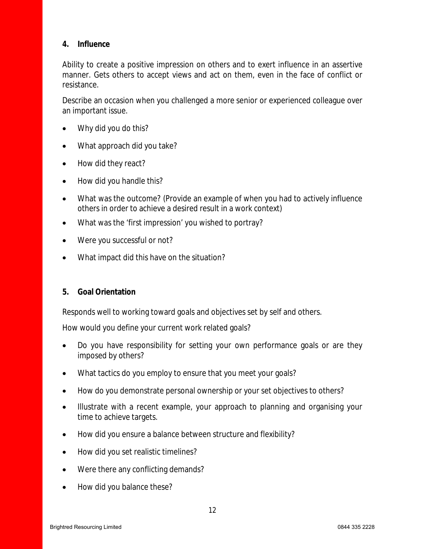#### **4. Influence**

Ability to create a positive impression on others and to exert influence in an assertive manner. Gets others to accept views and act on them, even in the face of conflict or resistance.

Describe an occasion when you challenged a more senior or experienced colleague over an important issue.

- Why did you do this?
- What approach did you take?
- How did they react?
- How did you handle this?
- What was the outcome? (Provide an example of when you had to actively influence others in order to achieve a desired result in a work context)
- What was the 'first impression' you wished to portray?
- Were you successful or not?
- What impact did this have on the situation?
- **5. Goal Orientation**

Responds well to working toward goals and objectives set by self and others.

How would you define your current work related goals?

- Do you have responsibility for setting your own performance goals or are they imposed by others?
- What tactics do you employ to ensure that you meet your goals?
- How do you demonstrate personal ownership or your set objectives to others?
- Illustrate with a recent example, your approach to planning and organising your time to achieve targets.
- How did you ensure a balance between structure and flexibility?
- How did you set realistic timelines?
- Were there any conflicting demands?
- How did you balance these?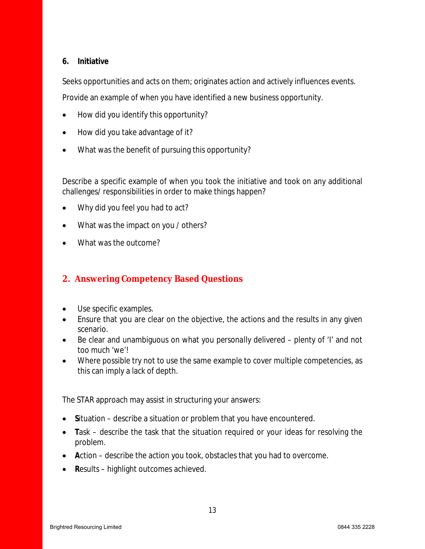## **6. Initiative**

Seeks opportunities and acts on them; originates action and actively influences events.

Provide an example of when you have identified a new business opportunity.

- How did you identify this opportunity?
- How did you take advantage of it?
- What was the benefit of pursuing this opportunity?

Describe a specific example of when you took the initiative and took on any additional challenges/ responsibilities in order to make things happen?

- Why did you feel you had to act?
- What was the impact on you / others?
- What was the outcome?

# **2. Answering Competency Based Questions**

- Use specific examples.
- Ensure that you are clear on the objective, the actions and the results in any given scenario.
- Be clear and unambiguous on what you *personally* delivered plenty of 'I' and not too much 'we'!
- Where possible try not to use the same example to cover multiple competencies, as this can imply a lack of depth.

The STAR approach may assist in structuring your answers:

- **S**ituation describe a situation or problem that you have encountered.
- Task describe the task that the situation required or your ideas for resolving the problem.
- **A**ction describe the action you took, obstacles that you had to overcome.
- **R**esults highlight outcomes achieved.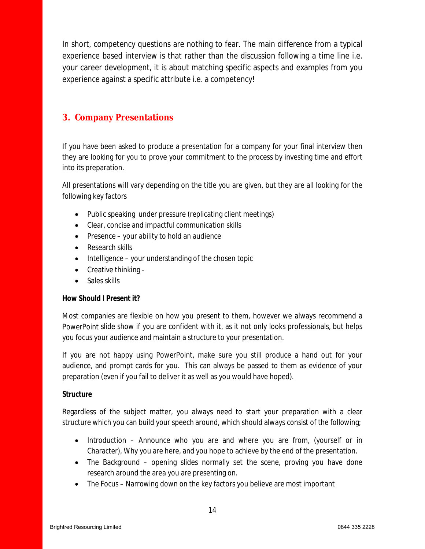In short, competency questions are nothing to fear. The main difference from a typical experience based interview is that rather than the discussion following a time line i.e. your career development, it is about matching specific aspects and examples from you experience against a specific attribute i.e. a competency!

# **3. Company Presentations**

If you have been asked to produce a presentation for a company for your final interview then they are looking for you to prove your commitment to the process by investing time and effort into its preparation.

All presentations will vary depending on the title you are given, but they are all looking for the following key factors

- Public speaking under pressure (replicating client meetings)
- Clear, concise and impactful communication skills
- Presence your ability to hold an audience
- Research skills
- $\bullet$  Intelligence your understanding of the chosen topic
- Creative thinking -
- Sales skills

#### **How Should I Present it?**

Most companies are flexible on how you present to them, however we always recommend a PowerPoint slide show if you are confident with it, as it not only looks professionals, but helps you focus your audience and maintain a structure to your presentation.

If you are not happy using PowerPoint, make sure you still produce a hand out for your audience, and prompt cards for you. This can always be passed to them as evidence of your preparation (even if you fail to deliver it as well as you would have hoped).

#### **Structure**

Regardless of the subject matter, you always need to start your preparation with a clear structure which you can build your speech around, which should always consist of the following;

- Introduction Announce who you are and where you are from, (yourself or in Character), Why you are here, and you hope to achieve by the end of the presentation.
- The Background opening slides normally set the scene, proving you have done research around the area you are presenting on.
- The Focus Narrowing down on the key factors you believe are most important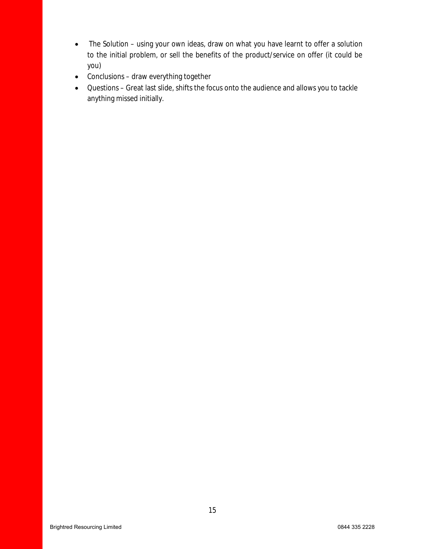- The Solution using your own ideas, draw on what you have learnt to offer a solution to the initial problem, or sell the benefits of the product/service on offer (it could be you)
- Conclusions draw everything together
- Questions Great last slide, shifts the focus onto the audience and allows you to tackle anything missed initially.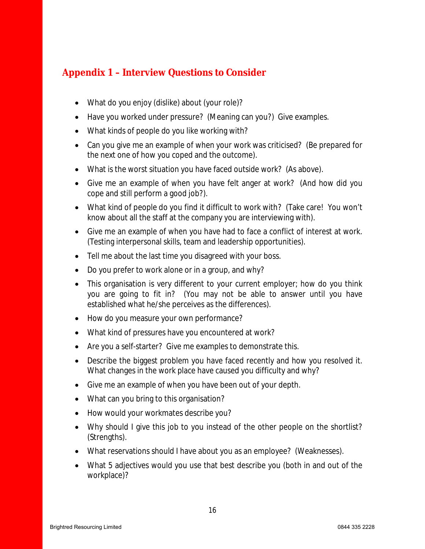# **Appendix 1 – Interview Questions to Consider**

- What do you enjoy (dislike) about (your role)?
- Have you worked under pressure? (Meaning can you?) Give examples.
- What kinds of people do you like working with?
- Can you give me an example of when your work was criticised? (Be prepared for the next one of how you coped and the outcome).
- What is the worst situation you have faced outside work? (As above).
- Give me an example of when you have felt anger at work? (And how did you cope and still perform a good job?).
- What kind of people do you find it difficult to work with? (Take care! You won't know about all the staff at the company you are interviewing with).
- Give me an example of when you have had to face a conflict of interest at work. (Testing interpersonal skills, team and leadership opportunities).
- Tell me about the last time you disagreed with your boss.
- Do you prefer to work alone or in a group, and why?
- This organisation is very different to your current employer; how do you think you are going to fit in? (You may not be able to answer until you have established what he/she perceives as the differences).
- How do you measure your own performance?
- What kind of pressures have you encountered at work?
- Are you a self-starter? Give me examples to demonstrate this.
- Describe the biggest problem you have faced recently and how you resolved it. What changes in the work place have caused you difficulty and why?
- Give me an example of when you have been out of your depth.
- What can you bring to this organisation?
- How would your workmates describe you?
- Why should I give this job to you instead of the other people on the shortlist? (Strengths).
- What reservations should I have about you as an employee? (Weaknesses).
- What 5 adjectives would you use that best describe you (both in and out of the workplace)?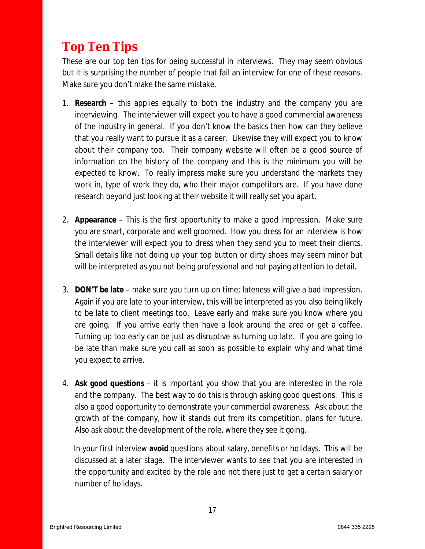# **Top Ten Tips**

These are our top ten tips for being successful in interviews. They may seem obvious but it is surprising the number of people that fail an interview for one of these reasons. Make sure you don't make the same mistake.

- 1. **Research** this applies equally to both the industry and the company you are interviewing. The interviewer will expect you to have a good commercial awareness of the industry in general. If you don't know the basics then how can they believe that you really want to pursue it as a career. Likewise they will expect you to know about their company too. Their company website will often be a good source of information on the history of the company and this is the minimum you will be expected to know. To really impress make sure you understand the markets they work in, type of work they do, who their major competitors are. If you have done research beyond just looking at their website it will really set you apart.
- 2. **Appearance**  This is the first opportunity to make a good impression. Make sure you are smart, corporate and well groomed. How you dress for an interview is how the interviewer will expect you to dress when they send you to meet their clients. Small details like not doing up your top button or dirty shoes may seem minor but will be interpreted as you not being professional and not paying attention to detail.
- 3. **DON'T be late**  make sure you turn up on time; lateness will give a bad impression. Again if you are late to your interview, this will be interpreted as you also being likely to be late to client meetings too. Leave early and make sure you know where you are going. If you arrive early then have a look around the area or get a coffee. Turning up too early can be just as disruptive as turning up late. If you are going to be late than make sure you call as soon as possible to explain why and what time you expect to arrive.
- 4. **Ask good questions** it is important you show that you are interested in the role and the company. The best way to do this is through asking good questions. This is also a good opportunity to demonstrate your commercial awareness. Ask about the growth of the company, how it stands out from its competition, plans for future. Also ask about the development of the role, where they see it going.

In your first interview **avoid** questions about salary, benefits or holidays. This will be discussed at a later stage. The interviewer wants to see that you are interested in the opportunity and excited by the role and not there just to get a certain salary or number of holidays.